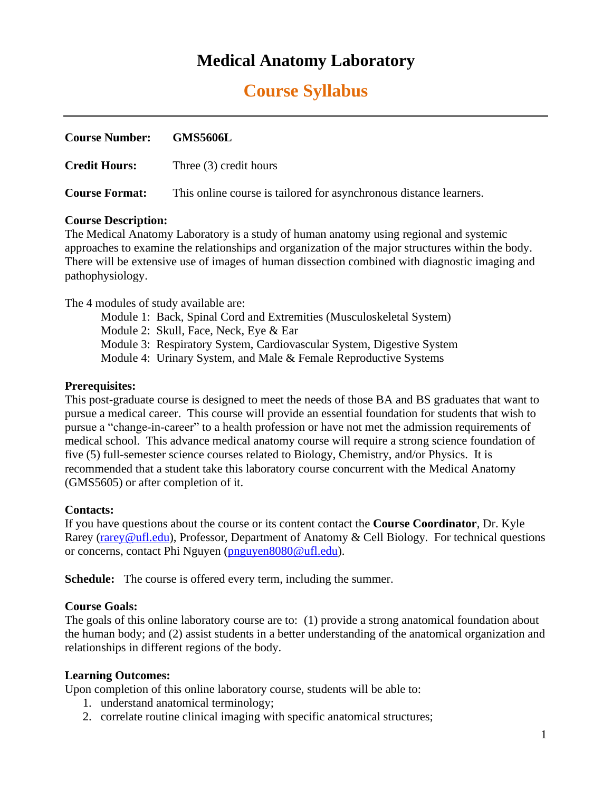# **Medical Anatomy Laboratory**

# **Course Syllabus**

| Course Number: GMS5606L |                                                                    |
|-------------------------|--------------------------------------------------------------------|
| <b>Credit Hours:</b>    | Three (3) credit hours                                             |
| <b>Course Format:</b>   | This online course is tailored for asynchronous distance learners. |

#### **Course Description:**

The Medical Anatomy Laboratory is a study of human anatomy using regional and systemic approaches to examine the relationships and organization of the major structures within the body. There will be extensive use of images of human dissection combined with diagnostic imaging and pathophysiology.

The 4 modules of study available are:

Module 1: Back, Spinal Cord and Extremities (Musculoskeletal System)

Module 2: Skull, Face, Neck, Eye & Ear

Module 3: Respiratory System, Cardiovascular System, Digestive System

Module 4: Urinary System, and Male & Female Reproductive Systems

### **Prerequisites:**

This post-graduate course is designed to meet the needs of those BA and BS graduates that want to pursue a medical career. This course will provide an essential foundation for students that wish to pursue a "change-in-career" to a health profession or have not met the admission requirements of medical school. This advance medical anatomy course will require a strong science foundation of five (5) full-semester science courses related to Biology, Chemistry, and/or Physics. It is recommended that a student take this laboratory course concurrent with the Medical Anatomy (GMS5605) or after completion of it.

### **Contacts:**

If you have questions about the course or its content contact the **Course Coordinator**, Dr. Kyle Rarey [\(rarey@ufl.edu\)](mailto:rarey@ufl.edu), Professor, Department of Anatomy & Cell Biology. For technical questions or concerns, contact Phi Nguyen [\(pnguyen8080@ufl.edu\)](mailto:pnguyen8080@ufl.edu).

**Schedule:** The course is offered every term, including the summer.

### **Course Goals:**

The goals of this online laboratory course are to: (1) provide a strong anatomical foundation about the human body; and (2) assist students in a better understanding of the anatomical organization and relationships in different regions of the body.

### **Learning Outcomes:**

Upon completion of this online laboratory course, students will be able to:

- 1. understand anatomical terminology;
- 2. correlate routine clinical imaging with specific anatomical structures;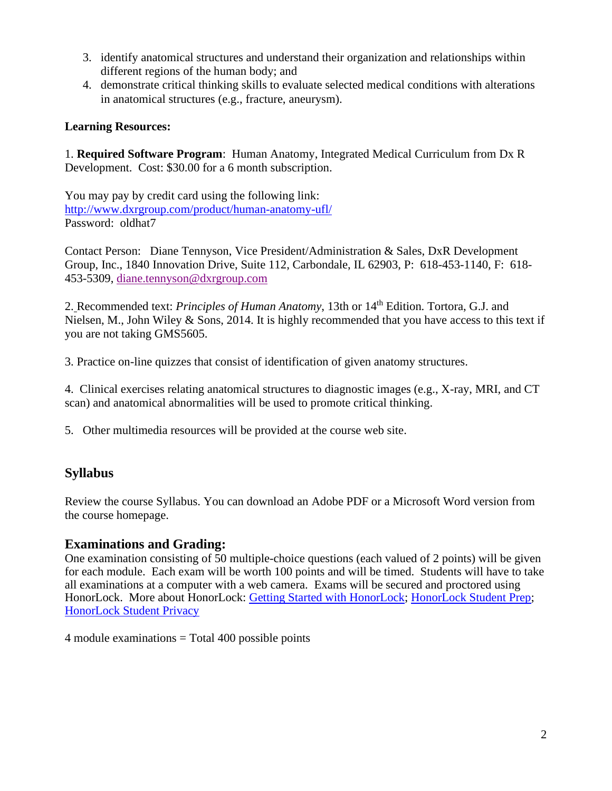- 3. identify anatomical structures and understand their organization and relationships within different regions of the human body; and
- 4. demonstrate critical thinking skills to evaluate selected medical conditions with alterations in anatomical structures (e.g., fracture, aneurysm).

## **Learning Resources:**

1. **Required Software Program**: Human Anatomy, Integrated Medical Curriculum from Dx R Development. Cost: \$30.00 for a 6 month subscription.

You may pay by credit card using the following link: <http://www.dxrgroup.com/product/human-anatomy-ufl/> Password: oldhat7

Contact Person: Diane Tennyson, Vice President/Administration & Sales, DxR Development Group, Inc., 1840 Innovation Drive, Suite 112, Carbondale, IL 62903, P: 618-453-1140, F: 618- 453-5309, [diane.tennyson@dxrgroup.com](mailto:diane.tennyson@dxrgroup.com)

2. Recommended text: *Principles of Human Anatomy*, 13th or 14th Edition. Tortora, G.J. and Nielsen, M., John Wiley & Sons, 2014. It is highly recommended that you have access to this text if you are not taking GMS5605.

3. Practice on-line quizzes that consist of identification of given anatomy structures.

4. Clinical exercises relating anatomical structures to diagnostic images (e.g., X-ray, MRI, and CT scan) and anatomical abnormalities will be used to promote critical thinking.

5. Other multimedia resources will be provided at the course web site.

# **Syllabus**

Review the course Syllabus. You can download an Adobe PDF or a Microsoft Word version from the course homepage.

# **Examinations and Grading:**

One examination consisting of 50 multiple-choice questions (each valued of 2 points) will be given for each module. Each exam will be worth 100 points and will be timed. Students will have to take all examinations at a computer with a web camera. Exams will be secured and proctored using HonorLock. More about HonorLock: [Getting Started with HonorLock;](https://com-acb-online-a2.sites.medinfo.ufl.edu/wordpress/files/2020/05/Honorlock-Getting-Started-with-Honorlock.pdf) [HonorLock Student Prep;](https://com-acb-online-a2.sites.medinfo.ufl.edu/wordpress/files/2020/05/Honorlock-Student-Exam-Preparation-Information.pdf) [HonorLock Student Privacy](https://com-acb-online-a2.sites.medinfo.ufl.edu/wordpress/files/2020/05/Honorlock-Student-Privacy.pdf)

 $4$  module examinations  $=$  Total  $400$  possible points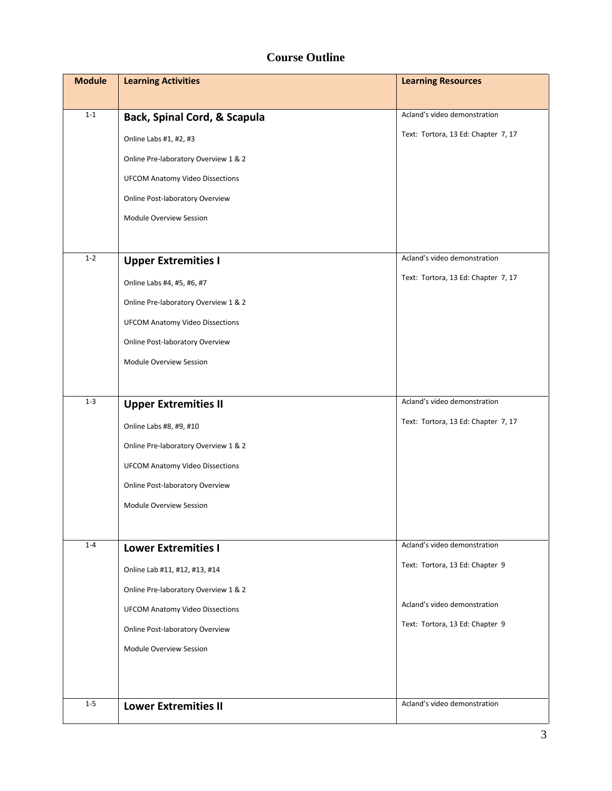# **Course Outline**

| <b>Module</b> | <b>Learning Activities</b>             | <b>Learning Resources</b>           |
|---------------|----------------------------------------|-------------------------------------|
|               |                                        |                                     |
| $1 - 1$       | Back, Spinal Cord, & Scapula           | Acland's video demonstration        |
|               | Online Labs #1, #2, #3                 | Text: Tortora, 13 Ed: Chapter 7, 17 |
|               | Online Pre-laboratory Overview 1 & 2   |                                     |
|               | <b>UFCOM Anatomy Video Dissections</b> |                                     |
|               | Online Post-laboratory Overview        |                                     |
|               | Module Overview Session                |                                     |
|               |                                        |                                     |
| $1 - 2$       | <b>Upper Extremities I</b>             | Acland's video demonstration        |
|               | Online Labs #4, #5, #6, #7             | Text: Tortora, 13 Ed: Chapter 7, 17 |
|               | Online Pre-laboratory Overview 1 & 2   |                                     |
|               | <b>UFCOM Anatomy Video Dissections</b> |                                     |
|               | Online Post-laboratory Overview        |                                     |
|               | Module Overview Session                |                                     |
|               |                                        |                                     |
| $1 - 3$       | <b>Upper Extremities II</b>            | Acland's video demonstration        |
|               | Online Labs #8, #9, #10                | Text: Tortora, 13 Ed: Chapter 7, 17 |
|               | Online Pre-laboratory Overview 1 & 2   |                                     |
|               | <b>UFCOM Anatomy Video Dissections</b> |                                     |
|               | Online Post-laboratory Overview        |                                     |
|               | Module Overview Session                |                                     |
|               |                                        |                                     |
| $1 - 4$       | <b>Lower Extremities I</b>             | Acland's video demonstration        |
|               | Online Lab #11, #12, #13, #14          | Text: Tortora, 13 Ed: Chapter 9     |
|               | Online Pre-laboratory Overview 1 & 2   |                                     |
|               | <b>UFCOM Anatomy Video Dissections</b> | Acland's video demonstration        |
|               | Online Post-laboratory Overview        | Text: Tortora, 13 Ed: Chapter 9     |
|               | Module Overview Session                |                                     |
|               |                                        |                                     |
|               |                                        |                                     |
| $1-5$         | <b>Lower Extremities II</b>            | Acland's video demonstration        |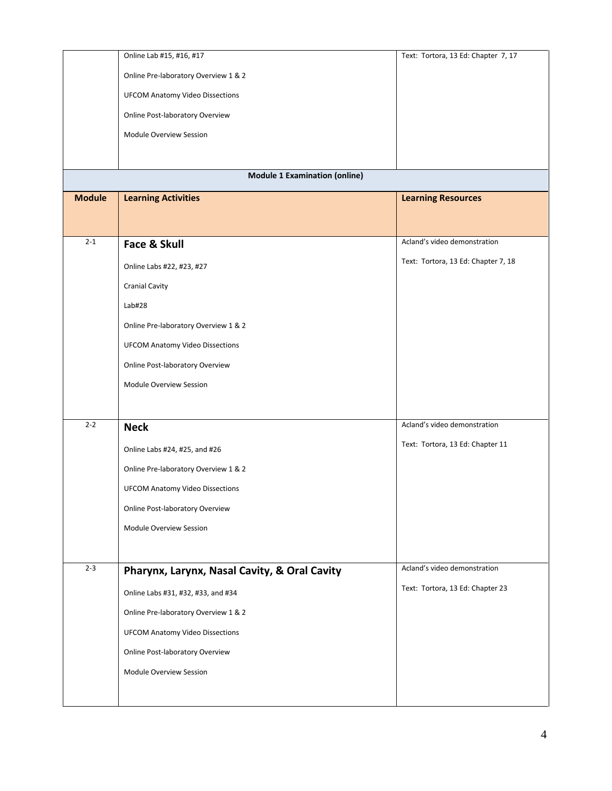| Online Pre-laboratory Overview 1 & 2<br><b>UFCOM Anatomy Video Dissections</b><br>Online Post-laboratory Overview<br>Module Overview Session<br><b>Module 1 Examination (online)</b><br><b>Module</b><br><b>Learning Activities</b><br><b>Learning Resources</b><br>$2 - 1$<br>Acland's video demonstration<br>Face & Skull<br>Text: Tortora, 13 Ed: Chapter 7, 18<br>Online Labs #22, #23, #27<br><b>Cranial Cavity</b><br>Lab#28<br>Online Pre-laboratory Overview 1 & 2<br><b>UFCOM Anatomy Video Dissections</b><br>Online Post-laboratory Overview<br>Module Overview Session |
|------------------------------------------------------------------------------------------------------------------------------------------------------------------------------------------------------------------------------------------------------------------------------------------------------------------------------------------------------------------------------------------------------------------------------------------------------------------------------------------------------------------------------------------------------------------------------------|
|                                                                                                                                                                                                                                                                                                                                                                                                                                                                                                                                                                                    |
|                                                                                                                                                                                                                                                                                                                                                                                                                                                                                                                                                                                    |
|                                                                                                                                                                                                                                                                                                                                                                                                                                                                                                                                                                                    |
|                                                                                                                                                                                                                                                                                                                                                                                                                                                                                                                                                                                    |
|                                                                                                                                                                                                                                                                                                                                                                                                                                                                                                                                                                                    |
|                                                                                                                                                                                                                                                                                                                                                                                                                                                                                                                                                                                    |
|                                                                                                                                                                                                                                                                                                                                                                                                                                                                                                                                                                                    |
|                                                                                                                                                                                                                                                                                                                                                                                                                                                                                                                                                                                    |
|                                                                                                                                                                                                                                                                                                                                                                                                                                                                                                                                                                                    |
|                                                                                                                                                                                                                                                                                                                                                                                                                                                                                                                                                                                    |
|                                                                                                                                                                                                                                                                                                                                                                                                                                                                                                                                                                                    |
|                                                                                                                                                                                                                                                                                                                                                                                                                                                                                                                                                                                    |
|                                                                                                                                                                                                                                                                                                                                                                                                                                                                                                                                                                                    |
|                                                                                                                                                                                                                                                                                                                                                                                                                                                                                                                                                                                    |
|                                                                                                                                                                                                                                                                                                                                                                                                                                                                                                                                                                                    |
|                                                                                                                                                                                                                                                                                                                                                                                                                                                                                                                                                                                    |
|                                                                                                                                                                                                                                                                                                                                                                                                                                                                                                                                                                                    |
|                                                                                                                                                                                                                                                                                                                                                                                                                                                                                                                                                                                    |
| $2 - 2$<br>Acland's video demonstration<br><b>Neck</b>                                                                                                                                                                                                                                                                                                                                                                                                                                                                                                                             |
| Text: Tortora, 13 Ed: Chapter 11<br>Online Labs #24, #25, and #26                                                                                                                                                                                                                                                                                                                                                                                                                                                                                                                  |
| Online Pre-laboratory Overview 1 & 2                                                                                                                                                                                                                                                                                                                                                                                                                                                                                                                                               |
| <b>UFCOM Anatomy Video Dissections</b>                                                                                                                                                                                                                                                                                                                                                                                                                                                                                                                                             |
| Online Post-laboratory Overview                                                                                                                                                                                                                                                                                                                                                                                                                                                                                                                                                    |
| Module Overview Session                                                                                                                                                                                                                                                                                                                                                                                                                                                                                                                                                            |
|                                                                                                                                                                                                                                                                                                                                                                                                                                                                                                                                                                                    |
| $2 - 3$<br>Acland's video demonstration                                                                                                                                                                                                                                                                                                                                                                                                                                                                                                                                            |
| Pharynx, Larynx, Nasal Cavity, & Oral Cavity                                                                                                                                                                                                                                                                                                                                                                                                                                                                                                                                       |
| Text: Tortora, 13 Ed: Chapter 23<br>Online Labs #31, #32, #33, and #34                                                                                                                                                                                                                                                                                                                                                                                                                                                                                                             |
| Online Pre-laboratory Overview 1 & 2                                                                                                                                                                                                                                                                                                                                                                                                                                                                                                                                               |
| <b>UFCOM Anatomy Video Dissections</b>                                                                                                                                                                                                                                                                                                                                                                                                                                                                                                                                             |
| Online Post-laboratory Overview                                                                                                                                                                                                                                                                                                                                                                                                                                                                                                                                                    |
| Module Overview Session                                                                                                                                                                                                                                                                                                                                                                                                                                                                                                                                                            |
|                                                                                                                                                                                                                                                                                                                                                                                                                                                                                                                                                                                    |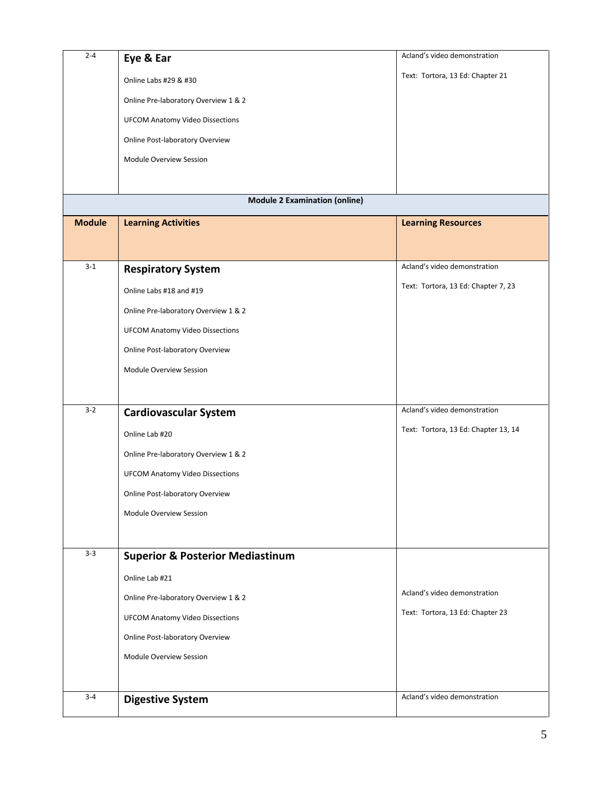| $2 - 4$       | Eye & Ear                                   | Acland's video demonstration         |
|---------------|---------------------------------------------|--------------------------------------|
|               | Online Labs #29 & #30                       | Text: Tortora, 13 Ed: Chapter 21     |
|               | Online Pre-laboratory Overview 1 & 2        |                                      |
|               | <b>UFCOM Anatomy Video Dissections</b>      |                                      |
|               | Online Post-laboratory Overview             |                                      |
|               | Module Overview Session                     |                                      |
|               |                                             |                                      |
|               | <b>Module 2 Examination (online)</b>        |                                      |
| <b>Module</b> | <b>Learning Activities</b>                  | <b>Learning Resources</b>            |
|               |                                             |                                      |
| $3 - 1$       | <b>Respiratory System</b>                   | Acland's video demonstration         |
|               | Online Labs #18 and #19                     | Text: Tortora, 13 Ed: Chapter 7, 23  |
|               | Online Pre-laboratory Overview 1 & 2        |                                      |
|               | <b>UFCOM Anatomy Video Dissections</b>      |                                      |
|               | Online Post-laboratory Overview             |                                      |
|               | Module Overview Session                     |                                      |
|               |                                             |                                      |
| $3 - 2$       |                                             | Acland's video demonstration         |
|               | <b>Cardiovascular System</b>                | Text: Tortora, 13 Ed: Chapter 13, 14 |
|               | Online Lab #20                              |                                      |
|               | Online Pre-laboratory Overview 1 & 2        |                                      |
|               | <b>UFCOM Anatomy Video Dissections</b>      |                                      |
|               | Online Post-laboratory Overview             |                                      |
|               | Module Overview Session                     |                                      |
|               |                                             |                                      |
| $3 - 3$       | <b>Superior &amp; Posterior Mediastinum</b> |                                      |
|               | Online Lab #21                              |                                      |
|               | Online Pre-laboratory Overview 1 & 2        | Acland's video demonstration         |
|               | <b>UFCOM Anatomy Video Dissections</b>      | Text: Tortora, 13 Ed: Chapter 23     |
|               | Online Post-laboratory Overview             |                                      |
|               | Module Overview Session                     |                                      |
|               |                                             |                                      |
| $3 - 4$       | <b>Digestive System</b>                     | Acland's video demonstration         |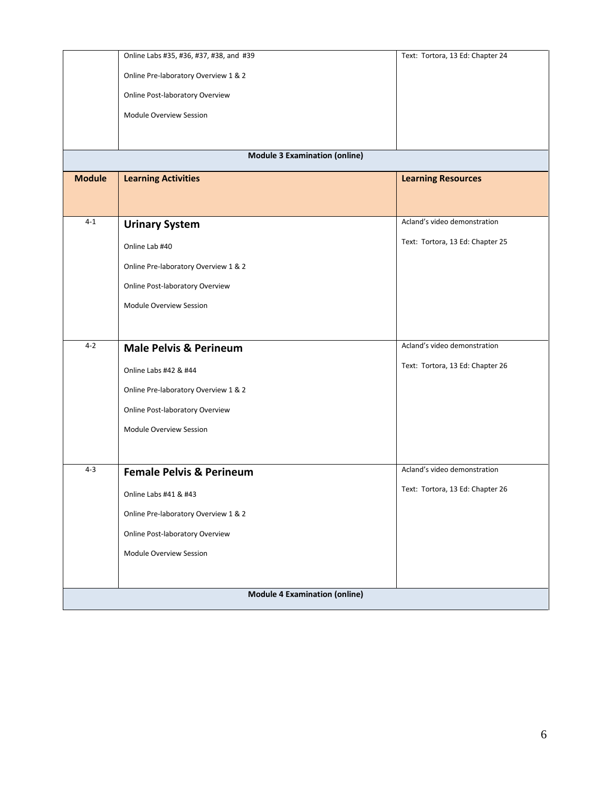|                                      | Online Labs #35, #36, #37, #38, and #39 | Text: Tortora, 13 Ed: Chapter 24 |  |  |
|--------------------------------------|-----------------------------------------|----------------------------------|--|--|
|                                      | Online Pre-laboratory Overview 1 & 2    |                                  |  |  |
|                                      | Online Post-laboratory Overview         |                                  |  |  |
|                                      | Module Overview Session                 |                                  |  |  |
|                                      |                                         |                                  |  |  |
|                                      | <b>Module 3 Examination (online)</b>    |                                  |  |  |
| <b>Module</b>                        | <b>Learning Activities</b>              | <b>Learning Resources</b>        |  |  |
|                                      |                                         |                                  |  |  |
| $4 - 1$                              | <b>Urinary System</b>                   | Acland's video demonstration     |  |  |
|                                      |                                         | Text: Tortora, 13 Ed: Chapter 25 |  |  |
|                                      | Online Lab #40                          |                                  |  |  |
|                                      | Online Pre-laboratory Overview 1 & 2    |                                  |  |  |
|                                      | Online Post-laboratory Overview         |                                  |  |  |
|                                      | Module Overview Session                 |                                  |  |  |
|                                      |                                         |                                  |  |  |
| $4 - 2$                              | <b>Male Pelvis &amp; Perineum</b>       | Acland's video demonstration     |  |  |
|                                      | Online Labs #42 & #44                   | Text: Tortora, 13 Ed: Chapter 26 |  |  |
|                                      | Online Pre-laboratory Overview 1 & 2    |                                  |  |  |
|                                      | Online Post-laboratory Overview         |                                  |  |  |
|                                      | Module Overview Session                 |                                  |  |  |
|                                      |                                         |                                  |  |  |
| $4 - 3$                              | <b>Female Pelvis &amp; Perineum</b>     | Acland's video demonstration     |  |  |
|                                      | Online Labs #41 & #43                   | Text: Tortora, 13 Ed: Chapter 26 |  |  |
|                                      | Online Pre-laboratory Overview 1 & 2    |                                  |  |  |
|                                      | Online Post-laboratory Overview         |                                  |  |  |
|                                      | Module Overview Session                 |                                  |  |  |
|                                      |                                         |                                  |  |  |
| <b>Module 4 Examination (online)</b> |                                         |                                  |  |  |
|                                      |                                         |                                  |  |  |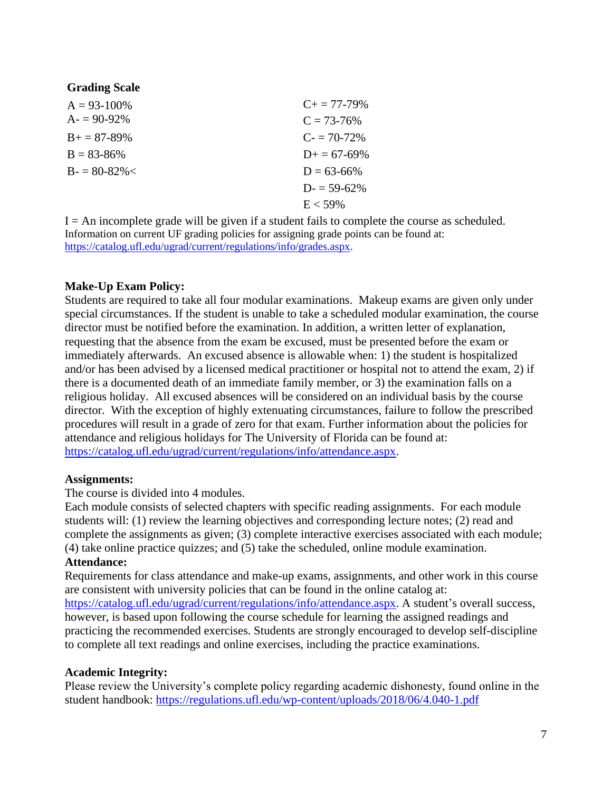### **Grading Scale**

| $A = 93 - 100\%$    | $C_{+} = 77 - 79\%$   |
|---------------------|-----------------------|
| $A = 90-92\%$       | $C = 73 - 76\%$       |
| $B_{+} = 87 - 89\%$ | $C = 70-72%$          |
| $B = 83 - 86\%$     | $D_{\pm} = 67 - 69\%$ |
| $B = 80-82\%$       | $D = 63 - 66\%$       |
|                     | $D = 59-62%$          |
|                     | $E < 59\%$            |

 $I = An incomplete grade will be given if a student fails to complete the course as scheduled.$ Information on current UF grading policies for assigning grade points can be found at: [https://catalog.ufl.edu/ugrad/current/regulations/info/grades.aspx.](https://catalog.ufl.edu/ugrad/current/regulations/info/grades.aspx)

#### **Make-Up Exam Policy:**

Students are required to take all four modular examinations. Makeup exams are given only under special circumstances. If the student is unable to take a scheduled modular examination, the course director must be notified before the examination. In addition, a written letter of explanation, requesting that the absence from the exam be excused, must be presented before the exam or immediately afterwards. An excused absence is allowable when: 1) the student is hospitalized and/or has been advised by a licensed medical practitioner or hospital not to attend the exam, 2) if there is a documented death of an immediate family member, or 3) the examination falls on a religious holiday. All excused absences will be considered on an individual basis by the course director. With the exception of highly extenuating circumstances, failure to follow the prescribed procedures will result in a grade of zero for that exam. Further information about the policies for attendance and religious holidays for The University of Florida can be found at: [https://catalog.ufl.edu/ugrad/current/regulations/info/attendance.aspx.](https://catalog.ufl.edu/ugrad/current/regulations/info/attendance.aspx)

#### **Assignments:**

The course is divided into 4 modules.

Each module consists of selected chapters with specific reading assignments. For each module students will: (1) review the learning objectives and corresponding lecture notes; (2) read and complete the assignments as given; (3) complete interactive exercises associated with each module; (4) take online practice quizzes; and (5) take the scheduled, online module examination. **Attendance:** 

Requirements for class attendance and make-up exams, assignments, and other work in this course are consistent with university policies that can be found in the online catalog at: [https://catalog.ufl.edu/ugrad/current/regulations/info/attendance.aspx.](https://catalog.ufl.edu/ugrad/current/regulations/info/attendance.aspx) A student's overall success, however, is based upon following the course schedule for learning the assigned readings and practicing the recommended exercises. Students are strongly encouraged to develop self-discipline to complete all text readings and online exercises, including the practice examinations.

### **Academic Integrity:**

Please review the University's complete policy regarding academic dishonesty, found online in the student handbook: <https://regulations.ufl.edu/wp-content/uploads/2018/06/4.040-1.pdf>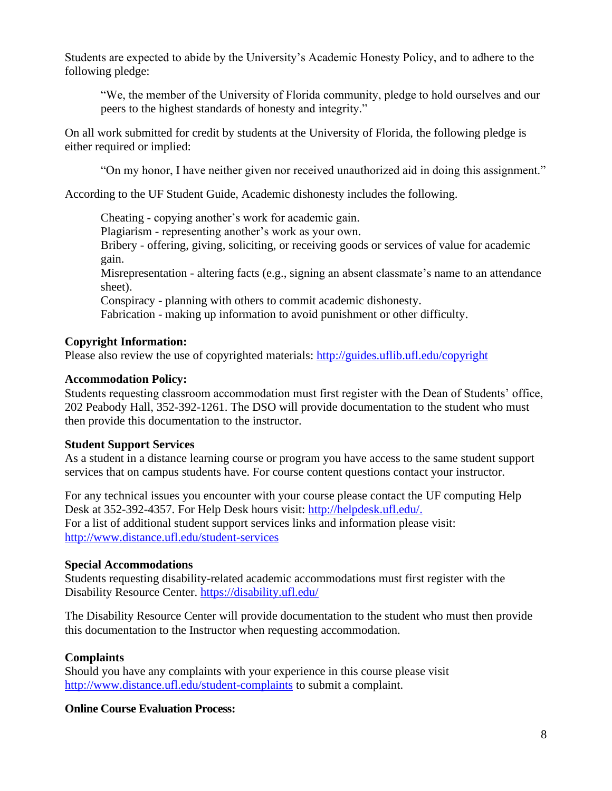Students are expected to abide by the University's Academic Honesty Policy, and to adhere to the following pledge:

"We, the member of the University of Florida community, pledge to hold ourselves and our peers to the highest standards of honesty and integrity."

On all work submitted for credit by students at the University of Florida, the following pledge is either required or implied:

"On my honor, I have neither given nor received unauthorized aid in doing this assignment."

According to the UF Student Guide, Academic dishonesty includes the following.

Cheating - copying another's work for academic gain. Plagiarism - representing another's work as your own. Bribery - offering, giving, soliciting, or receiving goods or services of value for academic gain. Misrepresentation - altering facts (e.g., signing an absent classmate's name to an attendance sheet).

Conspiracy - planning with others to commit academic dishonesty.

Fabrication - making up information to avoid punishment or other difficulty.

### **Copyright Information:**

Please also review the use of copyrighted materials:<http://guides.uflib.ufl.edu/copyright>

#### **Accommodation Policy:**

Students requesting classroom accommodation must first register with the Dean of Students' office, 202 Peabody Hall, 352-392-1261. The DSO will provide documentation to the student who must then provide this documentation to the instructor.

#### **Student Support Services**

As a student in a distance learning course or program you have access to the same student support services that on campus students have. For course content questions contact your instructor.

For any technical issues you encounter with your course please contact the UF computing Help Desk at 352-392-4357. For Help Desk hours visit: [http://helpdesk.ufl.edu/.](http://helpdesk.ufl.edu/) For a list of additional student support services links and information please visit: <http://www.distance.ufl.edu/student-services>

### **Special Accommodations**

Students requesting disability-related academic accommodations must first register with the Disability Resource Center. <https://disability.ufl.edu/>

The Disability Resource Center will provide documentation to the student who must then provide this documentation to the Instructor when requesting accommodation.

### **Complaints**

Should you have any complaints with your experience in this course please visit <http://www.distance.ufl.edu/student-complaints> to submit a complaint.

### **Online Course Evaluation Process:**